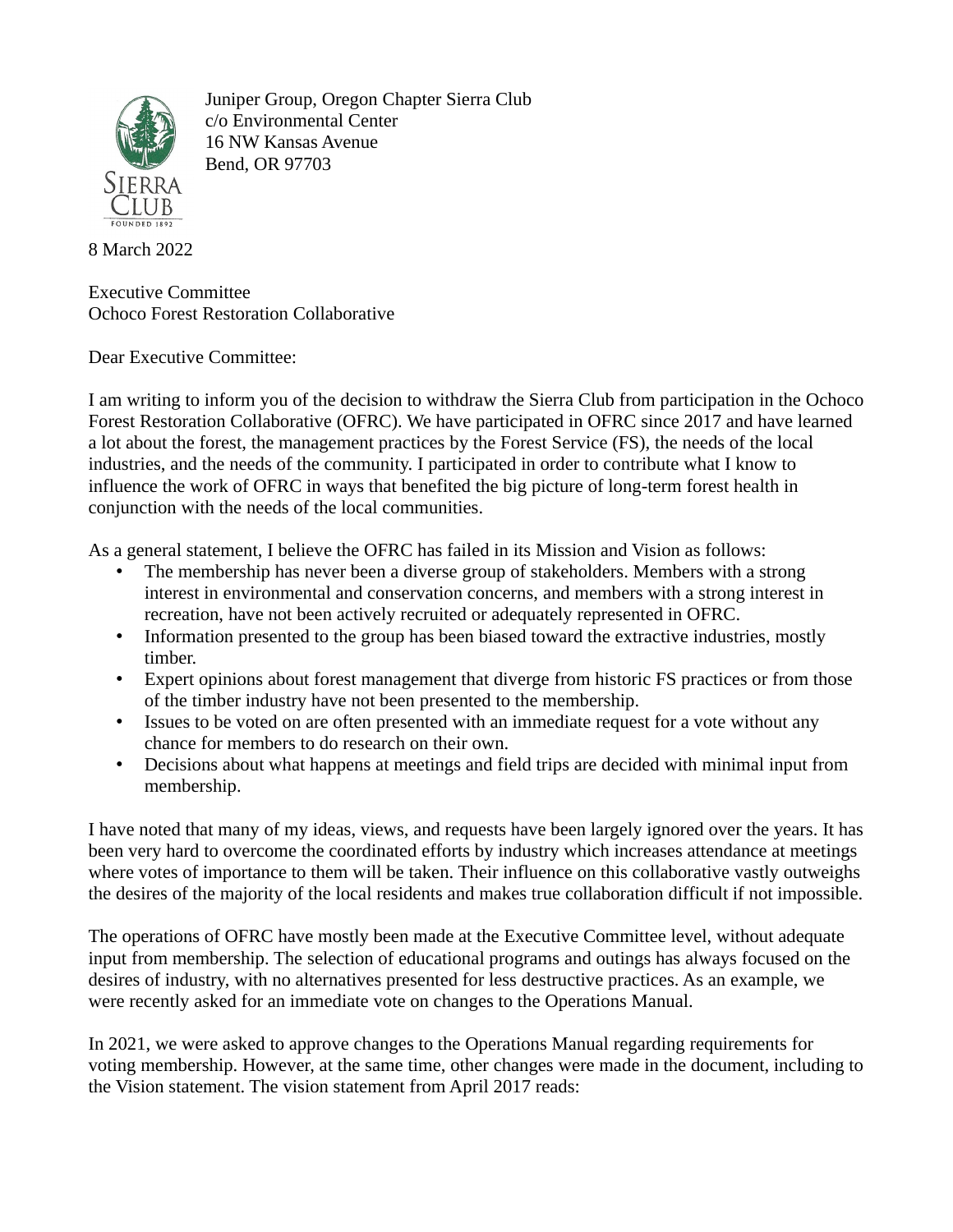

Juniper Group, Oregon Chapter Sierra Club c/o Environmental Center 16 NW Kansas Avenue Bend, OR 97703

## 8 March 2022

Executive Committee Ochoco Forest Restoration Collaborative

Dear Executive Committee:

I am writing to inform you of the decision to withdraw the Sierra Club from participation in the Ochoco Forest Restoration Collaborative (OFRC). We have participated in OFRC since 2017 and have learned a lot about the forest, the management practices by the Forest Service (FS), the needs of the local industries, and the needs of the community. I participated in order to contribute what I know to influence the work of OFRC in ways that benefited the big picture of long-term forest health in conjunction with the needs of the local communities.

As a general statement, I believe the OFRC has failed in its Mission and Vision as follows:

- The membership has never been a diverse group of stakeholders. Members with a strong interest in environmental and conservation concerns, and members with a strong interest in recreation, have not been actively recruited or adequately represented in OFRC.
- Information presented to the group has been biased toward the extractive industries, mostly timber.
- Expert opinions about forest management that diverge from historic FS practices or from those of the timber industry have not been presented to the membership.
- Issues to be voted on are often presented with an immediate request for a vote without any chance for members to do research on their own.
- Decisions about what happens at meetings and field trips are decided with minimal input from membership.

I have noted that many of my ideas, views, and requests have been largely ignored over the years. It has been very hard to overcome the coordinated efforts by industry which increases attendance at meetings where votes of importance to them will be taken. Their influence on this collaborative vastly outweighs the desires of the majority of the local residents and makes true collaboration difficult if not impossible.

The operations of OFRC have mostly been made at the Executive Committee level, without adequate input from membership. The selection of educational programs and outings has always focused on the desires of industry, with no alternatives presented for less destructive practices. As an example, we were recently asked for an immediate vote on changes to the Operations Manual.

In 2021, we were asked to approve changes to the Operations Manual regarding requirements for voting membership. However, at the same time, other changes were made in the document, including to the Vision statement. The vision statement from April 2017 reads: